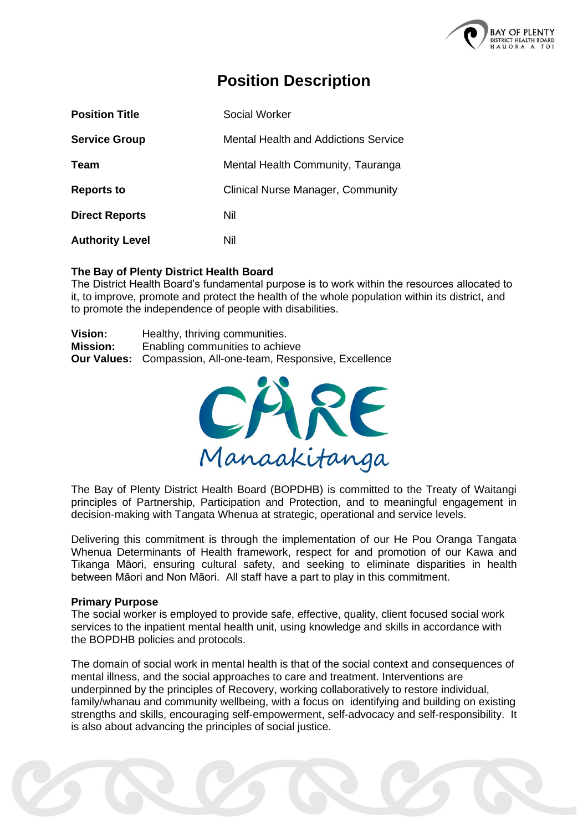

# **Position Description**

| <b>Position Title</b>  | Social Worker                               |
|------------------------|---------------------------------------------|
| <b>Service Group</b>   | <b>Mental Health and Addictions Service</b> |
| Team                   | Mental Health Community, Tauranga           |
| <b>Reports to</b>      | <b>Clinical Nurse Manager, Community</b>    |
| <b>Direct Reports</b>  | Nil                                         |
| <b>Authority Level</b> | Nil                                         |

## **The Bay of Plenty District Health Board**

The District Health Board's fundamental purpose is to work within the resources allocated to it, to improve, promote and protect the health of the whole population within its district, and to promote the independence of people with disabilities.

| <b>Vision:</b>  | Healthy, thriving communities.                                      |
|-----------------|---------------------------------------------------------------------|
| <b>Mission:</b> | Enabling communities to achieve                                     |
|                 | <b>Our Values:</b> Compassion, All-one-team, Responsive, Excellence |



The Bay of Plenty District Health Board (BOPDHB) is committed to the Treaty of Waitangi principles of Partnership, Participation and Protection, and to meaningful engagement in decision-making with Tangata Whenua at strategic, operational and service levels.

Delivering this commitment is through the implementation of our He Pou Oranga Tangata Whenua Determinants of Health framework, respect for and promotion of our Kawa and Tikanga Māori, ensuring cultural safety, and seeking to eliminate disparities in health between Māori and Non Māori. All staff have a part to play in this commitment.

#### **Primary Purpose**

The social worker is employed to provide safe, effective, quality, client focused social work services to the inpatient mental health unit, using knowledge and skills in accordance with the BOPDHB policies and protocols.

The domain of social work in mental health is that of the social context and consequences of mental illness, and the social approaches to care and treatment. Interventions are underpinned by the principles of Recovery, working collaboratively to restore individual, family/whanau and community wellbeing, with a focus on identifying and building on existing strengths and skills, encouraging self-empowerment, self-advocacy and self-responsibility. It is also about advancing the principles of social justice.

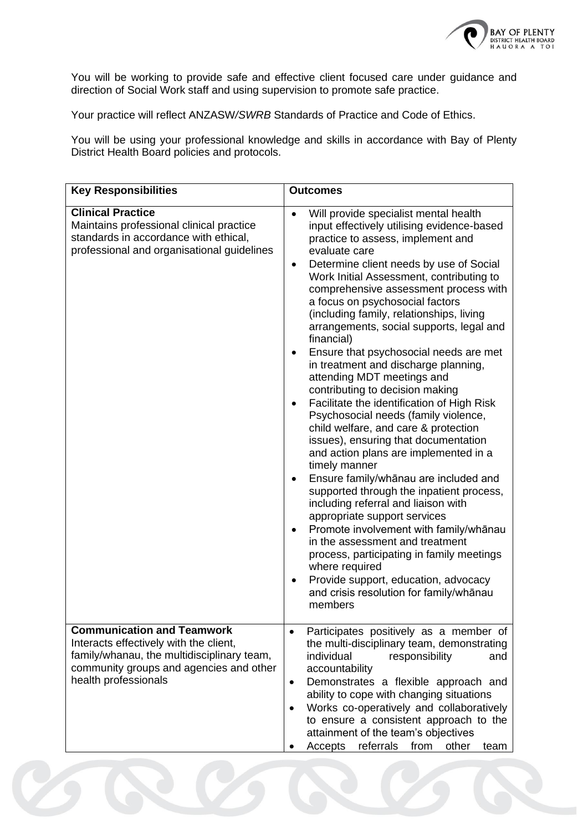

You will be working to provide safe and effective client focused care under guidance and direction of Social Work staff and using supervision to promote safe practice.

Your practice will reflect ANZASW*/SWRB* Standards of Practice and Code of Ethics.

You will be using your professional knowledge and skills in accordance with Bay of Plenty District Health Board policies and protocols.

| <b>Key Responsibilities</b>                                                                                                                                                                  | <b>Outcomes</b>                                                                                                                                                                                                                                                                                                                                                                                                                                                                                                                                                                                                                                                                                                                                                                                                                                                                                                                                                                                                                                                                                                                                                                                                                         |
|----------------------------------------------------------------------------------------------------------------------------------------------------------------------------------------------|-----------------------------------------------------------------------------------------------------------------------------------------------------------------------------------------------------------------------------------------------------------------------------------------------------------------------------------------------------------------------------------------------------------------------------------------------------------------------------------------------------------------------------------------------------------------------------------------------------------------------------------------------------------------------------------------------------------------------------------------------------------------------------------------------------------------------------------------------------------------------------------------------------------------------------------------------------------------------------------------------------------------------------------------------------------------------------------------------------------------------------------------------------------------------------------------------------------------------------------------|
| <b>Clinical Practice</b><br>Maintains professional clinical practice<br>standards in accordance with ethical,<br>professional and organisational guidelines                                  | Will provide specialist mental health<br>$\bullet$<br>input effectively utilising evidence-based<br>practice to assess, implement and<br>evaluate care<br>Determine client needs by use of Social<br>٠<br>Work Initial Assessment, contributing to<br>comprehensive assessment process with<br>a focus on psychosocial factors<br>(including family, relationships, living<br>arrangements, social supports, legal and<br>financial)<br>Ensure that psychosocial needs are met<br>٠<br>in treatment and discharge planning,<br>attending MDT meetings and<br>contributing to decision making<br>Facilitate the identification of High Risk<br>٠<br>Psychosocial needs (family violence,<br>child welfare, and care & protection<br>issues), ensuring that documentation<br>and action plans are implemented in a<br>timely manner<br>Ensure family/whānau are included and<br>supported through the inpatient process,<br>including referral and liaison with<br>appropriate support services<br>Promote involvement with family/whānau<br>in the assessment and treatment<br>process, participating in family meetings<br>where required<br>Provide support, education, advocacy<br>and crisis resolution for family/whānau<br>members |
| <b>Communication and Teamwork</b><br>Interacts effectively with the client,<br>family/whanau, the multidisciplinary team,<br>community groups and agencies and other<br>health professionals | Participates positively as a member of<br>the multi-disciplinary team, demonstrating<br>individual<br>responsibility<br>and<br>accountability<br>Demonstrates a flexible approach and<br>٠<br>ability to cope with changing situations<br>Works co-operatively and collaboratively<br>$\bullet$<br>to ensure a consistent approach to the<br>attainment of the team's objectives<br>referrals<br>from<br>Accepts<br>other<br>team                                                                                                                                                                                                                                                                                                                                                                                                                                                                                                                                                                                                                                                                                                                                                                                                       |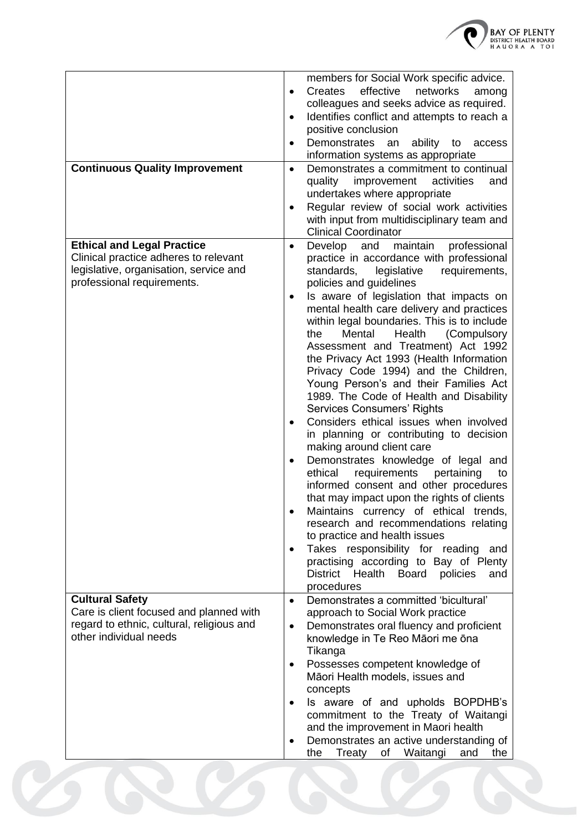

| <b>Continuous Quality Improvement</b>                                                                                                              | members for Social Work specific advice.<br>effective<br>Creates<br>networks<br>among<br>$\bullet$<br>colleagues and seeks advice as required.<br>Identifies conflict and attempts to reach a<br>$\bullet$<br>positive conclusion<br>Demonstrates an ability to<br>access<br>information systems as appropriate<br>Demonstrates a commitment to continual<br>quality<br>activities<br>improvement<br>and<br>undertakes where appropriate<br>Regular review of social work activities<br>with input from multidisciplinary team and                                                                                                                                                                                                                                                                                                                                                                                                                                                                                                                                                                                                                                                                                       |
|----------------------------------------------------------------------------------------------------------------------------------------------------|--------------------------------------------------------------------------------------------------------------------------------------------------------------------------------------------------------------------------------------------------------------------------------------------------------------------------------------------------------------------------------------------------------------------------------------------------------------------------------------------------------------------------------------------------------------------------------------------------------------------------------------------------------------------------------------------------------------------------------------------------------------------------------------------------------------------------------------------------------------------------------------------------------------------------------------------------------------------------------------------------------------------------------------------------------------------------------------------------------------------------------------------------------------------------------------------------------------------------|
| <b>Ethical and Legal Practice</b><br>Clinical practice adheres to relevant<br>legislative, organisation, service and<br>professional requirements. | <b>Clinical Coordinator</b><br>maintain<br>Develop<br>and<br>professional<br>practice in accordance with professional<br>standards,<br>legislative<br>requirements,<br>policies and guidelines<br>Is aware of legislation that impacts on<br>mental health care delivery and practices<br>within legal boundaries. This is to include<br>the<br>Mental<br>Health<br>(Compulsory<br>Assessment and Treatment) Act 1992<br>the Privacy Act 1993 (Health Information<br>Privacy Code 1994) and the Children,<br>Young Person's and their Families Act<br>1989. The Code of Health and Disability<br><b>Services Consumers' Rights</b><br>Considers ethical issues when involved<br>$\bullet$<br>in planning or contributing to decision<br>making around client care<br>Demonstrates knowledge of legal and<br>$\bullet$<br>requirements<br>pertaining<br>ethical<br>to<br>informed consent and other procedures<br>that may impact upon the rights of clients<br>Maintains currency of ethical trends,<br>research and recommendations relating<br>to practice and health issues<br>Takes responsibility for reading and<br>$\bullet$<br>practising according to Bay of Plenty<br>District Health Board<br>policies<br>and |
| <b>Cultural Safety</b><br>Care is client focused and planned with<br>regard to ethnic, cultural, religious and<br>other individual needs           | procedures<br>Demonstrates a committed 'bicultural'<br>approach to Social Work practice<br>Demonstrates oral fluency and proficient<br>knowledge in Te Reo Māori me ōna<br>Tikanga<br>Possesses competent knowledge of<br>Māori Health models, issues and<br>concepts<br>Is aware of and upholds BOPDHB's<br>commitment to the Treaty of Waitangi<br>and the improvement in Maori health<br>Demonstrates an active understanding of<br>of Waitangi<br>the<br>Treaty<br>and<br>the                                                                                                                                                                                                                                                                                                                                                                                                                                                                                                                                                                                                                                                                                                                                        |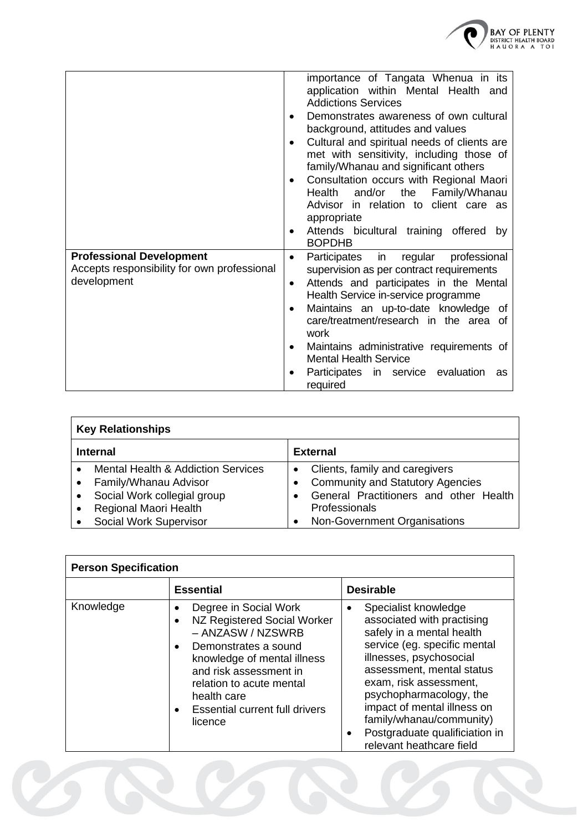

|                                                                                               | importance of Tangata Whenua in its<br>application within Mental Health and<br><b>Addictions Services</b><br>Demonstrates awareness of own cultural<br>٠<br>background, attitudes and values<br>Cultural and spiritual needs of clients are<br>$\bullet$<br>met with sensitivity, including those of<br>family/Whanau and significant others<br>Consultation occurs with Regional Maori<br>$\bullet$<br>Health and/or the Family/Whanau<br>Advisor in relation to client care as<br>appropriate<br>Attends bicultural training offered by<br>$\bullet$<br><b>BOPDHB</b> |
|-----------------------------------------------------------------------------------------------|-------------------------------------------------------------------------------------------------------------------------------------------------------------------------------------------------------------------------------------------------------------------------------------------------------------------------------------------------------------------------------------------------------------------------------------------------------------------------------------------------------------------------------------------------------------------------|
| <b>Professional Development</b><br>Accepts responsibility for own professional<br>development | in regular<br>Participates<br>professional<br>$\bullet$<br>supervision as per contract requirements<br>Attends and participates in the Mental<br>$\bullet$<br>Health Service in-service programme<br>Maintains an up-to-date knowledge of<br>$\bullet$<br>care/treatment/research in the area<br>0f<br>work<br>Maintains administrative requirements of<br>$\bullet$<br><b>Mental Health Service</b><br>Participates in service evaluation<br>as<br>required                                                                                                            |

| <b>Key Relationships</b>                                                                                                                                              |                                                                                                                                      |  |  |
|-----------------------------------------------------------------------------------------------------------------------------------------------------------------------|--------------------------------------------------------------------------------------------------------------------------------------|--|--|
| <b>Internal</b><br><b>External</b>                                                                                                                                    |                                                                                                                                      |  |  |
| <b>Mental Health &amp; Addiction Services</b><br>Family/Whanau Advisor<br>$\bullet$<br>Social Work collegial group<br>$\bullet$<br>Regional Maori Health<br>$\bullet$ | Clients, family and caregivers<br><b>Community and Statutory Agencies</b><br>General Practitioners and other Health<br>Professionals |  |  |
| <b>Social Work Supervisor</b>                                                                                                                                         | Non-Government Organisations                                                                                                         |  |  |

| <b>Person Specification</b> |                                                                                                                                                                                                                                                                        |                                                                                                                                                                                                                                                                                                                                                       |  |
|-----------------------------|------------------------------------------------------------------------------------------------------------------------------------------------------------------------------------------------------------------------------------------------------------------------|-------------------------------------------------------------------------------------------------------------------------------------------------------------------------------------------------------------------------------------------------------------------------------------------------------------------------------------------------------|--|
|                             | <b>Essential</b>                                                                                                                                                                                                                                                       | <b>Desirable</b>                                                                                                                                                                                                                                                                                                                                      |  |
| Knowledge                   | Degree in Social Work<br>NZ Registered Social Worker<br>- ANZASW / NZSWRB<br>Demonstrates a sound<br>$\bullet$<br>knowledge of mental illness<br>and risk assessment in<br>relation to acute mental<br>health care<br><b>Essential current full drivers</b><br>licence | Specialist knowledge<br>associated with practising<br>safely in a mental health<br>service (eg. specific mental<br>illnesses, psychosocial<br>assessment, mental status<br>exam, risk assessment,<br>psychopharmacology, the<br>impact of mental illness on<br>family/whanau/community)<br>Postgraduate qualificiation in<br>relevant heathcare field |  |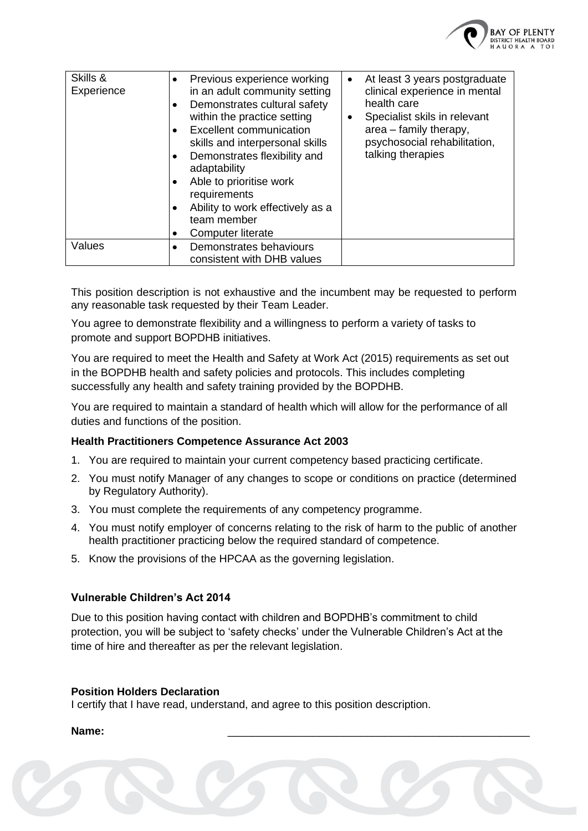

| Skills &<br>Experience | Previous experience working<br>in an adult community setting<br>Demonstrates cultural safety<br>$\bullet$<br>within the practice setting<br><b>Excellent communication</b><br>skills and interpersonal skills<br>Demonstrates flexibility and<br>adaptability<br>Able to prioritise work<br>requirements<br>Ability to work effectively as a<br>team member<br><b>Computer literate</b> | At least 3 years postgraduate<br>$\bullet$<br>clinical experience in mental<br>health care<br>Specialist skils in relevant<br>area - family therapy,<br>psychosocial rehabilitation,<br>talking therapies |
|------------------------|-----------------------------------------------------------------------------------------------------------------------------------------------------------------------------------------------------------------------------------------------------------------------------------------------------------------------------------------------------------------------------------------|-----------------------------------------------------------------------------------------------------------------------------------------------------------------------------------------------------------|
| Values                 | Demonstrates behaviours<br>$\bullet$<br>consistent with DHB values                                                                                                                                                                                                                                                                                                                      |                                                                                                                                                                                                           |

This position description is not exhaustive and the incumbent may be requested to perform any reasonable task requested by their Team Leader.

You agree to demonstrate flexibility and a willingness to perform a variety of tasks to promote and support BOPDHB initiatives.

You are required to meet the Health and Safety at Work Act (2015) requirements as set out in the BOPDHB health and safety policies and protocols. This includes completing successfully any health and safety training provided by the BOPDHB.

You are required to maintain a standard of health which will allow for the performance of all duties and functions of the position.

## **Health Practitioners Competence Assurance Act 2003**

- 1. You are required to maintain your current competency based practicing certificate.
- 2. You must notify Manager of any changes to scope or conditions on practice (determined by Regulatory Authority).
- 3. You must complete the requirements of any competency programme.
- 4. You must notify employer of concerns relating to the risk of harm to the public of another health practitioner practicing below the required standard of competence.
- 5. Know the provisions of the HPCAA as the governing legislation.

## **Vulnerable Children's Act 2014**

Due to this position having contact with children and BOPDHB's commitment to child protection, you will be subject to 'safety checks' under the Vulnerable Children's Act at the time of hire and thereafter as per the relevant legislation.

#### **Position Holders Declaration**

I certify that I have read, understand, and agree to this position description.

#### **Name:** \_\_\_\_\_\_\_\_\_\_\_\_\_\_\_\_\_\_\_\_\_\_\_\_\_\_\_\_\_\_\_\_\_\_\_\_\_\_\_\_\_\_\_\_\_\_\_\_\_\_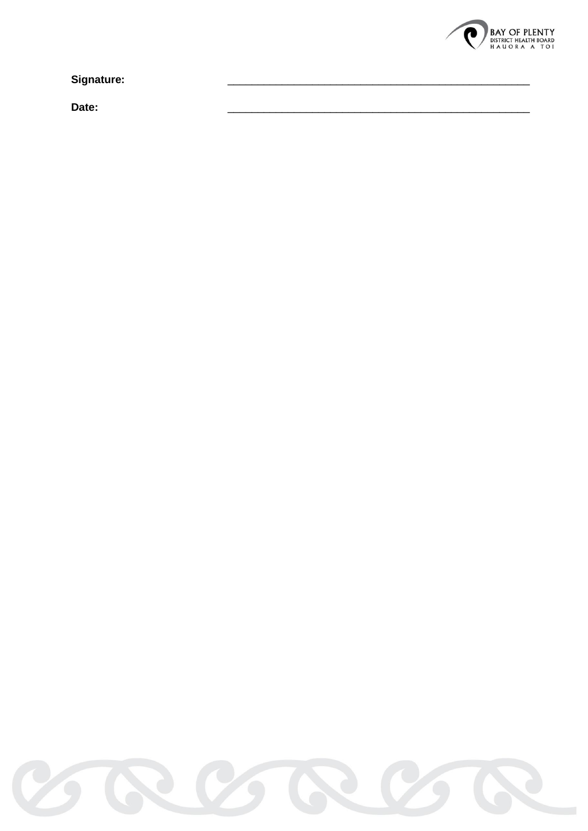

Signature:

Date: